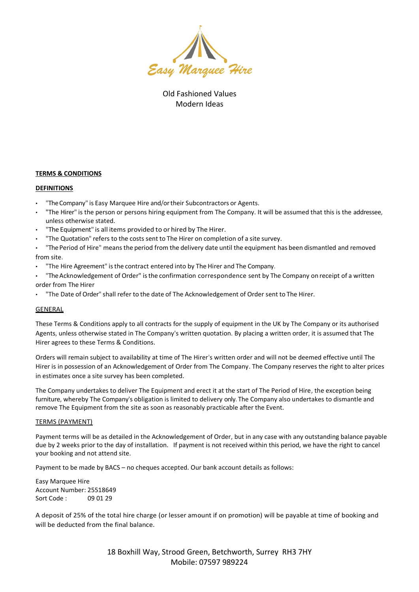

Old Fashioned Values Modern Ideas

# **TERMS & CONDITIONS**

## **DEFINITIONS**

- "The Company" is Easy Marquee Hire and/or their Subcontractors or Agents.
- "The Hirer" is the person or persons hiring equipment from The Company. It will be assumed that this is the addressee, unless otherwise stated.
- "The Equipment" is all items provided to or hired by The Hirer.
- "The Quotation" refers to the costs sent to The Hirer on completion of a site survey.

"The Period of Hire" means the period from the delivery date until the equipment has been dismantled and removed from site.

• "The Hire Agreement" isthe contract entered into by The Hirer and The Company.

"The Acknowledgement of Order" is the confirmation correspondence sent by The Company on receipt of a written order from The Hirer

• "The Date of Order" shall refer to the date of The Acknowledgement of Order sent to The Hirer.

## GENERAL

These Terms & Conditions apply to all contracts for the supply of equipment in the UK by The Company or its authorised Agents, unless otherwise stated in The Company's written quotation. By placing a written order, it is assumed that The Hirer agrees to these Terms & Conditions.

Orders will remain subject to availability at time of The Hirer's written order and will not be deemed effective until The Hirer is in possession of an Acknowledgement of Order from The Company. The Company reserves the right to alter prices in estimates once a site survey has been completed.

The Company undertakes to deliver The Equipment and erect it at the start of The Period of Hire, the exception being furniture, whereby The Company's obligation is limited to delivery only. The Company also undertakes to dismantle and remove The Equipment from the site as soon as reasonably practicable after the Event.

## TERMS (PAYMENT)

Payment terms will be as detailed in the Acknowledgement of Order, but in any case with any outstanding balance payable due by 2 weeks prior to the day of installation. If payment is not received within this period, we have the right to cancel your booking and not attend site.

Payment to be made by BACS – no cheques accepted. Our bank account details as follows:

Easy Marquee Hire Account Number: 25518649 Sort Code : 09 01 29

A deposit of 25% of the total hire charge (or lesser amount if on promotion) will be payable at time of booking and will be deducted from the final balance.

> 18 Boxhill Way, Strood Green, Betchworth, Surrey RH3 7HY Mobile: 07597 989224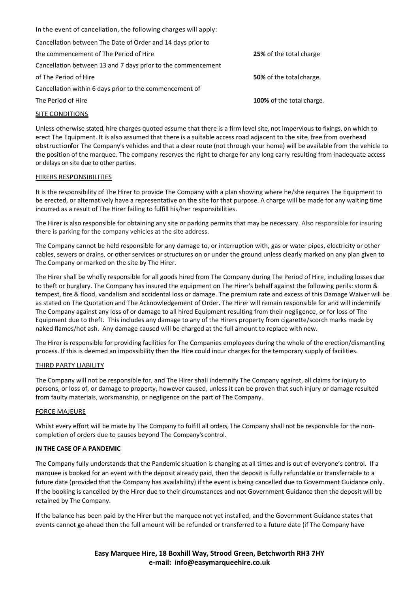| In the event of cancellation, the following charges will apply: |                                 |
|-----------------------------------------------------------------|---------------------------------|
| Cancellation between The Date of Order and 14 days prior to     |                                 |
| the commencement of The Period of Hire                          | 25% of the total charge         |
| Cancellation between 13 and 7 days prior to the commencement    |                                 |
| of The Period of Hire                                           | <b>50%</b> of the total charge. |
| Cancellation within 6 days prior to the commencement of         |                                 |
| The Period of Hire                                              | 100% of the total charge.       |
|                                                                 |                                 |

## SITE CONDITIONS

Unless otherwise stated, hire charges quoted assume that there is a firm level site, not impervious to fixings, on which to erect The Equipment. It is also assumed that there is a suitable access road adjacent to the site, free from overhead obstructionfor The Company's vehicles and that a clear route (not through your home) will be available from the vehicle to the position of the marquee. The company reserves the right to charge for any long carry resulting from inadequate access or delays on site due to other parties.

#### HIRERS RESPONSIBILITIES

It is the responsibility of The Hirer to provide The Company with a plan showing where he/she requires The Equipment to be erected, or alternatively have a representative on the site for that purpose. A charge will be made for any waiting time incurred as a result of The Hirer failing to fulfill his/her responsibilities.

The Hirer is also responsible for obtaining any site or parking permits that may be necessary. Also responsible for insuring there is parking for the company vehicles at the site address.

The Company cannot be held responsible for any damage to, or interruption with, gas or water pipes, electricity or other cables, sewers or drains, or other services or structures on or under the ground unless clearly marked on any plan given to The Company or marked on the site by The Hirer.

The Hirer shall be wholly responsible for all goods hired from The Company during The Period of Hire, including losses due to theft or burglary. The Company has insured the equipment on The Hirer's behalf against the following perils: storm & tempest, fire & flood, vandalism and accidental loss or damage. The premium rate and excess of this Damage Waiver will be as stated on The Quotation and The Acknowledgement of Order. The Hirer will remain responsible for and will indemnify The Company against any loss of or damage to all hired Equipment resulting from their negligence, or for loss of The Equipment due to theft. This includes any damage to any of the Hirers property from cigarette/scorch marks made by naked flames/hot ash. Any damage caused will be charged at the full amount to replace with new.

The Hirer is responsible for providing facilities for The Companies employees during the whole of the erection/dismantling process. If this is deemed an impossibility then the Hire could incur charges for the temporary supply of facilities.

## THIRD PARTY LIABILITY

The Company will not be responsible for, and The Hirer shall indemnify The Company against, all claims for injury to persons, or loss of, or damage to property, however caused, unless it can be proven that such injury or damage resulted from faulty materials, workmanship, or negligence on the part of The Company.

## FORCE MAJEURE

Whilst every effort will be made by The Company to fulfill all orders, The Company shall not be responsible for the noncompletion of orders due to causes beyond The Company's control.

#### **IN THE CASE OF A PANDEMIC**

The Company fully understands that the Pandemic situation is changing at all times and is out of everyone's control. If a marquee is booked for an event with the deposit already paid, then the deposit is fully refundable or transferrable to a future date (provided that the Company has availability) if the event is being cancelled due to Government Guidance only. If the booking is cancelled by the Hirer due to their circumstances and not Government Guidance then the deposit will be retained by The Company.

If the balance has been paid by the Hirer but the marquee not yet installed, and the Government Guidance states that events cannot go ahead then the full amount will be refunded or transferred to a future date (if The Company have

> **Easy Marquee Hire, 18 Boxhill Way, Strood Green, Betchworth RH3 7HY e-mail: info@easymarqueehire.co.uk**